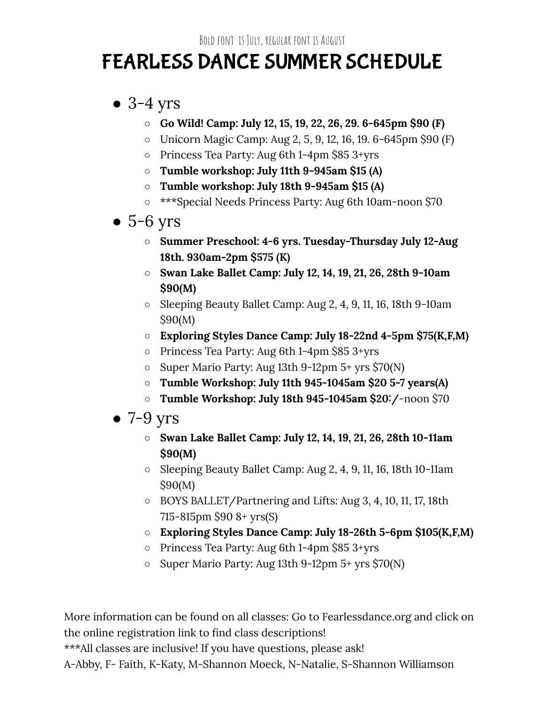BOLD FONT IS JULY, REGULAR FONT IS AUGUST

# FEARLESS DANCE SUMMER SCHEDULE

### $\bullet$  3-4 yrs

- **○ Go Wild! Camp: July 12, 15, 19, 22, 26, 29. 6-645pm \$90 (F)**
- Unicorn Magic Camp: Aug 2, 5, 9, 12, 16, 19. 6-645pm \$90 (F)
- Princess Tea Party: Aug 6th 1-4pm \$85 3+yrs
- **○ Tumble workshop: July 11th 9-945am \$15 (A)**
- **○ Tumble workshop: July 18th 9-945am \$15 (A)**
- \*\*\*Special Needs Princess Party: Aug 6th 10am-noon \$70
- $\bullet$  5-6 yrs
	- **○ Summer Preschool: 4-6 yrs. Tuesday-Thursday July 12-Aug 18th. 930am-2pm \$575 (K)**
	- **○ Swan Lake Ballet Camp: July 12, 14, 19, 21, 26, 28th 9-10am \$90(M)**
	- Sleeping Beauty Ballet Camp: Aug 2, 4, 9, 11, 16, 18th 9-10am \$90(M)
	- **○ Exploring Styles Dance Camp: July 18-22nd 4-5pm \$75(K,F,M)**
	- Princess Tea Party: Aug 6th 1-4pm \$85 3+yrs
	- Super Mario Party: Aug 13th 9-12pm 5+ yrs \$70(N)
	- **○ Tumble Workshop: July 11th 945-1045am \$20 5-7 years(A)**
	- **○ Tumble Workshop: July 18th 945-1045am \$20/**-noon \$70
- $\bullet$  7-9 yrs
	- **○ Swan Lake Ballet Camp: July 12, 14, 19, 21, 26, 28th 10-11am \$90(M)**
	- Sleeping Beauty Ballet Camp: Aug 2, 4, 9, 11, 16, 18th 10-11am \$90(M)
	- BOYS BALLET/Partnering and Lifts: Aug 3, 4, 10, 11, 17, 18th 715-815pm \$90 8+ yrs(S)
	- **○ Exploring Styles Dance Camp: July 18-26th 5-6pm \$105(K,F,M)**
	- Princess Tea Party: Aug 6th 1-4pm \$85 3+yrs
	- Super Mario Party: Aug 13th 9-12pm 5+ yrs \$70(N)

More information can be found on all classes: Go to Fearlessdance.org and click on the online registration link to find class descriptions! \*\*\*All classes are inclusive! If you have questions, please ask! A-Abby, F- Faith, K-Katy, M-Shannon Moeck, N-Natalie, S-Shannon Williamson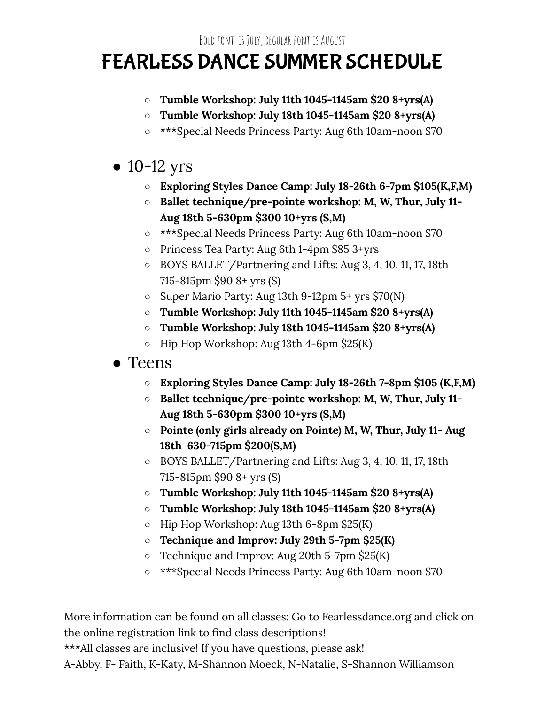# FEARLESS DANCE SUMMER SCHEDULE

- **○ Tumble Workshop: July 11th 1045-1145am \$20 8+yrs(A)**
- **○ Tumble Workshop: July 18th 1045-1145am \$20 8+yrs(A)**
- \*\*\*Special Needs Princess Party: Aug 6th 10am-noon \$70

#### $\bullet$  10-12 yrs

- **○ Exploring Styles Dance Camp: July 18-26th 6-7pm \$105(K,F,M)**
- **○ Ballet technique/pre-pointe workshop: M, W, Thur, July 11- Aug 18th 5-630pm \$300 10+yrs (S,M)**
- \*\*\*Special Needs Princess Party: Aug 6th 10am-noon \$70
- Princess Tea Party: Aug 6th 1-4pm \$85 3+yrs
- BOYS BALLET/Partnering and Lifts: Aug 3, 4, 10, 11, 17, 18th 715-815pm \$90 8+ yrs (S)
- Super Mario Party: Aug 13th 9-12pm 5+ yrs \$70(N)
- **○ Tumble Workshop: July 11th 1045-1145am \$20 8+yrs(A)**
- **○ Tumble Workshop: July 18th 1045-1145am \$20 8+yrs(A)**
- Hip Hop Workshop: Aug 13th 4-6pm \$25(K)
- Teens
	- **○ Exploring Styles Dance Camp: July 18-26th 7-8pm \$105 (K,F,M)**
	- **○ Ballet technique/pre-pointe workshop: M, W, Thur, July 11- Aug 18th 5-630pm \$300 10+yrs (S,M)**
	- **○ Pointe (only girls already on Pointe) M, W, Thur, July 11- Aug 18th 630-715pm \$200(S,M)**
	- BOYS BALLET/Partnering and Lifts: Aug 3, 4, 10, 11, 17, 18th 715-815pm \$90 8+ yrs (S)
	- **○ Tumble Workshop: July 11th 1045-1145am \$20 8+yrs(A)**
	- **○ Tumble Workshop: July 18th 1045-1145am \$20 8+yrs(A)**
	- Hip Hop Workshop: Aug 13th 6-8pm \$25(K)
	- **○ Technique and Improv: July 29th 5-7pm \$25(K)**
	- Technique and Improv: Aug 20th 5-7pm \$25(K)
	- \*\*\*Special Needs Princess Party: Aug 6th 10am-noon \$70

More information can be found on all classes: Go to Fearlessdance.org and click on the online registration link to find class descriptions! \*\*\*All classes are inclusive! If you have questions, please ask! A-Abby, F- Faith, K-Katy, M-Shannon Moeck, N-Natalie, S-Shannon Williamson